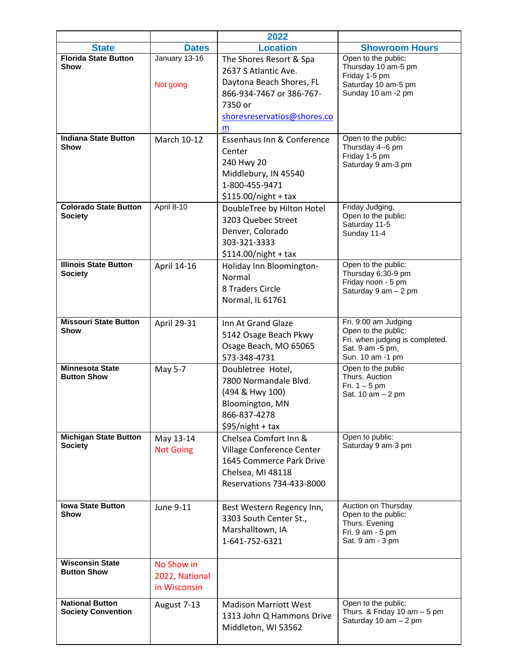|                                                     |                                              | 2022                                                                                                                                              |                                                                                                                        |
|-----------------------------------------------------|----------------------------------------------|---------------------------------------------------------------------------------------------------------------------------------------------------|------------------------------------------------------------------------------------------------------------------------|
| <b>State</b>                                        | <b>Dates</b>                                 | <b>Location</b>                                                                                                                                   | <b>Showroom Hours</b>                                                                                                  |
| <b>Florida State Button</b><br>Show                 | January 13-16<br>Not going                   | The Shores Resort & Spa<br>2637 S Atlantic Ave.<br>Daytona Beach Shores, FL<br>866-934-7467 or 386-767-<br>7350 or<br>shoresreservatios@shores.co | Open to the public:<br>Thursday 10 am-5 pm<br>Friday 1-5 pm<br>Saturday 10 am-5 pm<br>Sunday 10 am -2 pm               |
| <b>Indiana State Button</b><br>Show                 | March 10-12                                  | m<br>Essenhaus Inn & Conference<br>Center<br>240 Hwy 20<br>Middlebury, IN 45540<br>1-800-455-9471<br>$$115.00/night + tax$                        | Open to the public:<br>Thursday 4--6 pm<br>Friday 1-5 pm<br>Saturday 9 am-3 pm                                         |
| <b>Colorado State Button</b><br><b>Society</b>      | April 8-10                                   | DoubleTree by Hilton Hotel<br>3203 Quebec Street<br>Denver, Colorado<br>303-321-3333<br>$$114.00/night + tax$                                     | Friday Judging,<br>Open to the public:<br>Saturday 11-5<br>Sunday 11-4                                                 |
| <b>Illinois State Button</b><br><b>Society</b>      | April 14-16                                  | Holiday Inn Bloomington-<br>Normal<br>8 Traders Circle<br>Normal, IL 61761                                                                        | Open to the public:<br>Thursday 6:30-9 pm<br>Friday noon - 5 pm<br>Saturday 9 am - 2 pm                                |
| <b>Missouri State Button</b><br>Show                | April 29-31                                  | Inn At Grand Glaze<br>5142 Osage Beach Pkwy<br>Osage Beach, MO 65065<br>573-348-4731                                                              | Fri. 9:00 am Judging<br>Open to the public:<br>Fri. when judging is completed.<br>Sat. 9 am -5 pm,<br>Sun. 10 am -1 pm |
| <b>Minnesota State</b><br><b>Button Show</b>        | May 5-7                                      | Doubletree Hotel,<br>7800 Normandale Blvd.<br>(494 & Hwy 100)<br>Bloomington, MN<br>866-837-4278<br>$$95/night + tax$                             | Open to the public<br>Thurs. Auction<br>Fri. $1-5$ pm<br>Sat. 10 am - 2 pm                                             |
| <b>Michigan State Button</b><br><b>Society</b>      | May 13-14<br><b>Not Going</b>                | Chelsea Comfort Inn &<br>Village Conference Center<br>1645 Commerce Park Drive<br>Chelsea, MI 48118<br>Reservations 734-433-8000                  | Open to public:<br>Saturday 9 am-3 pm                                                                                  |
| <b>Iowa State Button</b><br><b>Show</b>             | June 9-11                                    | Best Western Regency Inn,<br>3303 South Center St.,<br>Marshalltown, IA<br>1-641-752-6321                                                         | Auction on Thursday<br>Open to the public:<br>Thurs. Evening<br>Fri. 9 am - 5 pm<br>Sat. 9 am - 3 pm                   |
| <b>Wisconsin State</b><br><b>Button Show</b>        | No Show in<br>2022, National<br>in Wisconsin |                                                                                                                                                   |                                                                                                                        |
| <b>National Button</b><br><b>Society Convention</b> | August 7-13                                  | <b>Madison Marriott West</b><br>1313 John Q Hammons Drive<br>Middleton, WI 53562                                                                  | Open to the public:<br>Thurs. & Friday 10 am $-5$ pm<br>Saturday 10 am - 2 pm                                          |